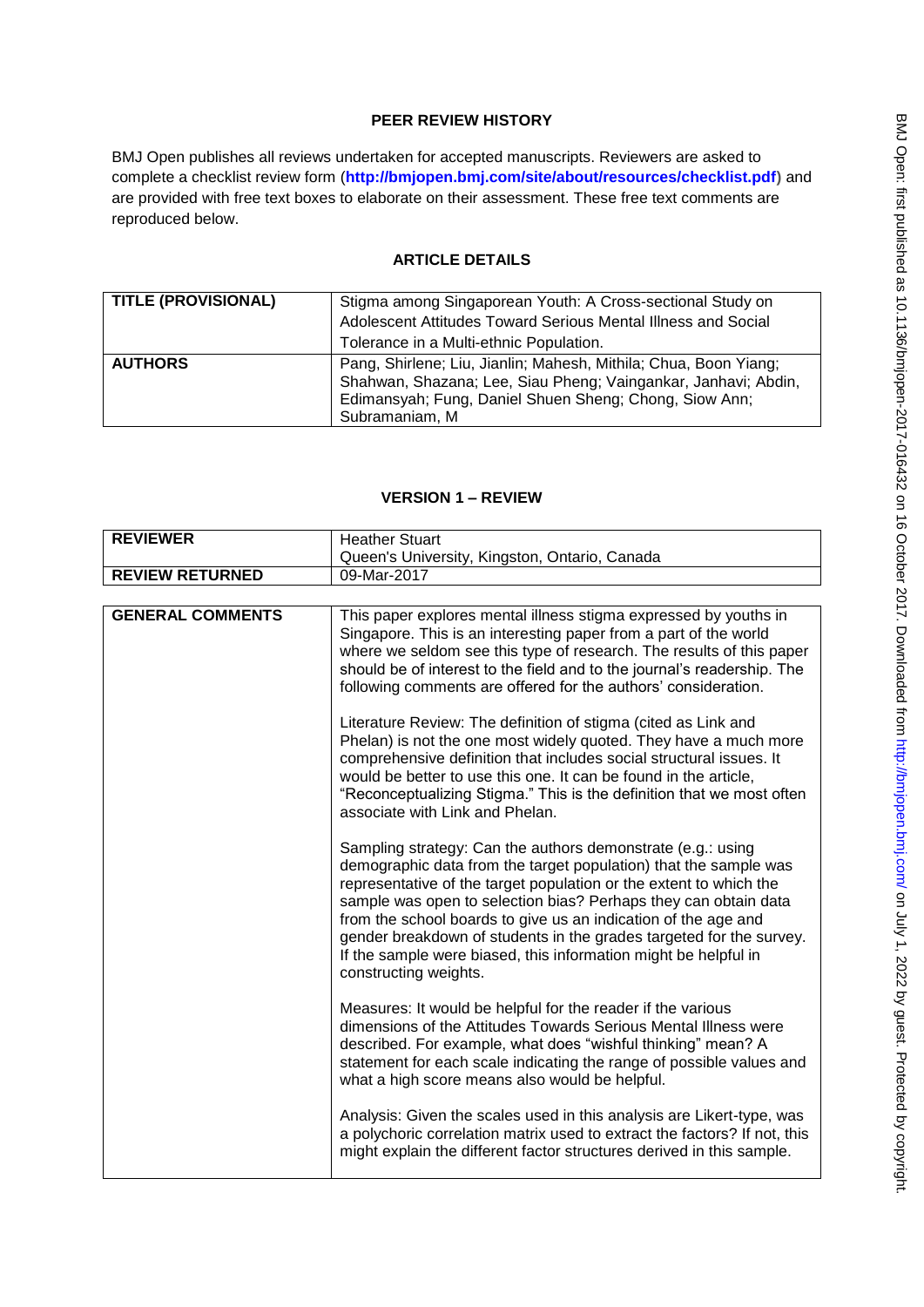# **PEER REVIEW HISTORY**

BMJ Open publishes all reviews undertaken for accepted manuscripts. Reviewers are asked to complete a checklist review form (**[http://bmjopen.bmj.com/site/about/resources/checklist.pdf\)](http://bmjopen.bmj.com/site/about/resources/checklist.pdf)** and are provided with free text boxes to elaborate on their assessment. These free text comments are reproduced below.

## **ARTICLE DETAILS**

| <b>TITLE (PROVISIONAL)</b> | Stigma among Singaporean Youth: A Cross-sectional Study on<br>Adolescent Attitudes Toward Serious Mental Illness and Social<br>Tolerance in a Multi-ethnic Population.                                         |
|----------------------------|----------------------------------------------------------------------------------------------------------------------------------------------------------------------------------------------------------------|
| <b>AUTHORS</b>             | Pang, Shirlene; Liu, Jianlin; Mahesh, Mithila; Chua, Boon Yiang;<br>Shahwan, Shazana; Lee, Siau Pheng; Vaingankar, Janhavi; Abdin,<br>Edimansyah; Fung, Daniel Shuen Sheng; Chong, Siow Ann;<br>Subramaniam, M |

## **VERSION 1 – REVIEW**

| <b>REVIEWER</b>         | <b>Heather Stuart</b>                                                                                                                                                                                                                                                                                                                                                                                                                                                                                         |
|-------------------------|---------------------------------------------------------------------------------------------------------------------------------------------------------------------------------------------------------------------------------------------------------------------------------------------------------------------------------------------------------------------------------------------------------------------------------------------------------------------------------------------------------------|
|                         | Queen's University, Kingston, Ontario, Canada                                                                                                                                                                                                                                                                                                                                                                                                                                                                 |
| <b>REVIEW RETURNED</b>  | 09-Mar-2017                                                                                                                                                                                                                                                                                                                                                                                                                                                                                                   |
|                         |                                                                                                                                                                                                                                                                                                                                                                                                                                                                                                               |
| <b>GENERAL COMMENTS</b> | This paper explores mental illness stigma expressed by youths in<br>Singapore. This is an interesting paper from a part of the world<br>where we seldom see this type of research. The results of this paper<br>should be of interest to the field and to the journal's readership. The<br>following comments are offered for the authors' consideration.                                                                                                                                                     |
|                         | Literature Review: The definition of stigma (cited as Link and<br>Phelan) is not the one most widely quoted. They have a much more<br>comprehensive definition that includes social structural issues. It<br>would be better to use this one. It can be found in the article,<br>"Reconceptualizing Stigma." This is the definition that we most often<br>associate with Link and Phelan.                                                                                                                     |
|                         | Sampling strategy: Can the authors demonstrate (e.g.: using<br>demographic data from the target population) that the sample was<br>representative of the target population or the extent to which the<br>sample was open to selection bias? Perhaps they can obtain data<br>from the school boards to give us an indication of the age and<br>gender breakdown of students in the grades targeted for the survey.<br>If the sample were biased, this information might be helpful in<br>constructing weights. |
|                         | Measures: It would be helpful for the reader if the various<br>dimensions of the Attitudes Towards Serious Mental Illness were<br>described. For example, what does "wishful thinking" mean? A<br>statement for each scale indicating the range of possible values and<br>what a high score means also would be helpful.                                                                                                                                                                                      |
|                         | Analysis: Given the scales used in this analysis are Likert-type, was<br>a polychoric correlation matrix used to extract the factors? If not, this<br>might explain the different factor structures derived in this sample.                                                                                                                                                                                                                                                                                   |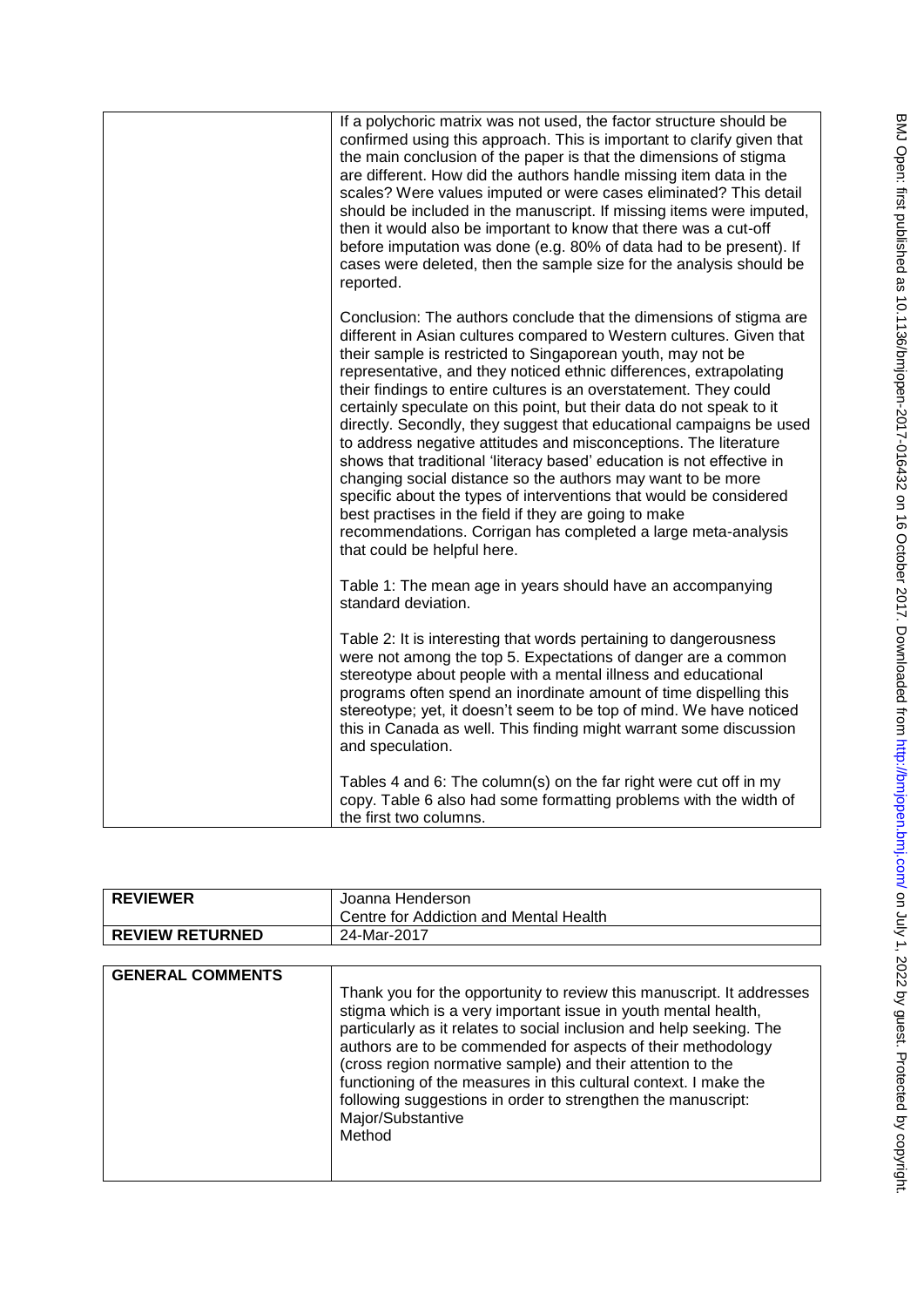| If a polychoric matrix was not used, the factor structure should be<br>confirmed using this approach. This is important to clarify given that<br>the main conclusion of the paper is that the dimensions of stigma<br>are different. How did the authors handle missing item data in the<br>scales? Were values imputed or were cases eliminated? This detail<br>should be included in the manuscript. If missing items were imputed,<br>then it would also be important to know that there was a cut-off<br>before imputation was done (e.g. 80% of data had to be present). If<br>cases were deleted, then the sample size for the analysis should be<br>reported.                                                                                                                                                                                                                                                                           |
|------------------------------------------------------------------------------------------------------------------------------------------------------------------------------------------------------------------------------------------------------------------------------------------------------------------------------------------------------------------------------------------------------------------------------------------------------------------------------------------------------------------------------------------------------------------------------------------------------------------------------------------------------------------------------------------------------------------------------------------------------------------------------------------------------------------------------------------------------------------------------------------------------------------------------------------------|
| Conclusion: The authors conclude that the dimensions of stigma are<br>different in Asian cultures compared to Western cultures. Given that<br>their sample is restricted to Singaporean youth, may not be<br>representative, and they noticed ethnic differences, extrapolating<br>their findings to entire cultures is an overstatement. They could<br>certainly speculate on this point, but their data do not speak to it<br>directly. Secondly, they suggest that educational campaigns be used<br>to address negative attitudes and misconceptions. The literature<br>shows that traditional 'literacy based' education is not effective in<br>changing social distance so the authors may want to be more<br>specific about the types of interventions that would be considered<br>best practises in the field if they are going to make<br>recommendations. Corrigan has completed a large meta-analysis<br>that could be helpful here. |
| Table 1: The mean age in years should have an accompanying<br>standard deviation.                                                                                                                                                                                                                                                                                                                                                                                                                                                                                                                                                                                                                                                                                                                                                                                                                                                              |
| Table 2: It is interesting that words pertaining to dangerousness<br>were not among the top 5. Expectations of danger are a common<br>stereotype about people with a mental illness and educational<br>programs often spend an inordinate amount of time dispelling this<br>stereotype; yet, it doesn't seem to be top of mind. We have noticed<br>this in Canada as well. This finding might warrant some discussion<br>and speculation.                                                                                                                                                                                                                                                                                                                                                                                                                                                                                                      |
| Tables 4 and 6: The column(s) on the far right were cut off in my<br>copy. Table 6 also had some formatting problems with the width of<br>the first two columns.                                                                                                                                                                                                                                                                                                                                                                                                                                                                                                                                                                                                                                                                                                                                                                               |

| <b>REVIEWER</b>        | Joanna Henderson<br>Centre for Addiction and Mental Health |
|------------------------|------------------------------------------------------------|
| <b>REVIEW RETURNED</b> | 24-Mar-2017                                                |

| <b>GENERAL COMMENTS</b> | Thank you for the opportunity to review this manuscript. It addresses<br>stigma which is a very important issue in youth mental health,<br>particularly as it relates to social inclusion and help seeking. The<br>authors are to be commended for aspects of their methodology<br>(cross region normative sample) and their attention to the<br>functioning of the measures in this cultural context. I make the<br>following suggestions in order to strengthen the manuscript:<br>Major/Substantive<br>Method |
|-------------------------|------------------------------------------------------------------------------------------------------------------------------------------------------------------------------------------------------------------------------------------------------------------------------------------------------------------------------------------------------------------------------------------------------------------------------------------------------------------------------------------------------------------|
|                         |                                                                                                                                                                                                                                                                                                                                                                                                                                                                                                                  |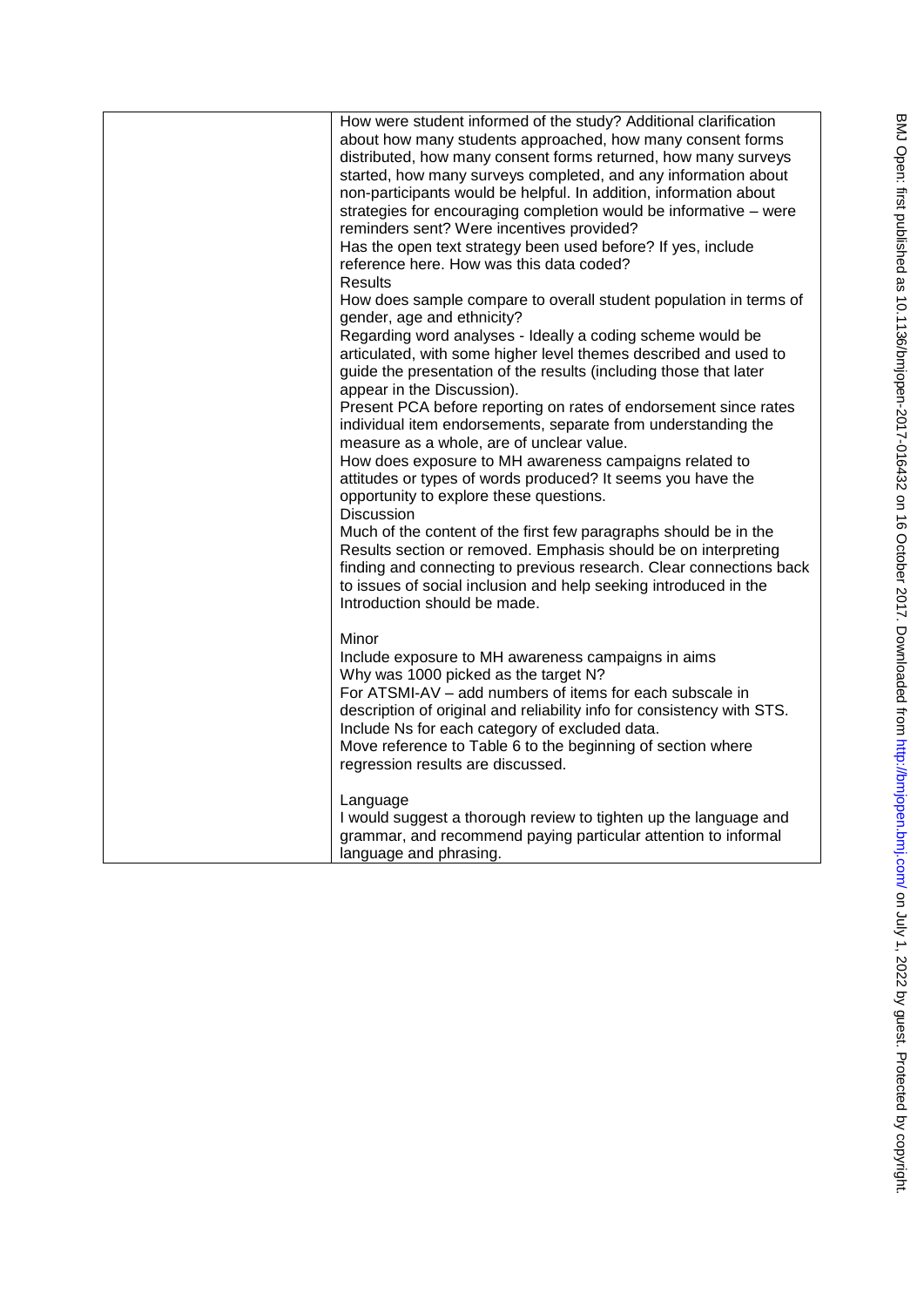|  | How were student informed of the study? Additional clarification<br>about how many students approached, how many consent forms<br>distributed, how many consent forms returned, how many surveys<br>started, how many surveys completed, and any information about<br>non-participants would be helpful. In addition, information about                                                         |
|--|-------------------------------------------------------------------------------------------------------------------------------------------------------------------------------------------------------------------------------------------------------------------------------------------------------------------------------------------------------------------------------------------------|
|  | strategies for encouraging completion would be informative - were<br>reminders sent? Were incentives provided?<br>Has the open text strategy been used before? If yes, include<br>reference here. How was this data coded?                                                                                                                                                                      |
|  | <b>Results</b><br>How does sample compare to overall student population in terms of<br>gender, age and ethnicity?                                                                                                                                                                                                                                                                               |
|  | Regarding word analyses - Ideally a coding scheme would be<br>articulated, with some higher level themes described and used to<br>guide the presentation of the results (including those that later<br>appear in the Discussion).                                                                                                                                                               |
|  | Present PCA before reporting on rates of endorsement since rates<br>individual item endorsements, separate from understanding the<br>measure as a whole, are of unclear value.                                                                                                                                                                                                                  |
|  | How does exposure to MH awareness campaigns related to<br>attitudes or types of words produced? It seems you have the<br>opportunity to explore these questions.<br><b>Discussion</b>                                                                                                                                                                                                           |
|  | Much of the content of the first few paragraphs should be in the<br>Results section or removed. Emphasis should be on interpreting<br>finding and connecting to previous research. Clear connections back<br>to issues of social inclusion and help seeking introduced in the<br>Introduction should be made.                                                                                   |
|  | Minor<br>Include exposure to MH awareness campaigns in aims<br>Why was 1000 picked as the target N?<br>For ATSMI-AV - add numbers of items for each subscale in<br>description of original and reliability info for consistency with STS.<br>Include Ns for each category of excluded data.<br>Move reference to Table 6 to the beginning of section where<br>regression results are discussed. |
|  | Language<br>I would suggest a thorough review to tighten up the language and<br>grammar, and recommend paying particular attention to informal<br>language and phrasing.                                                                                                                                                                                                                        |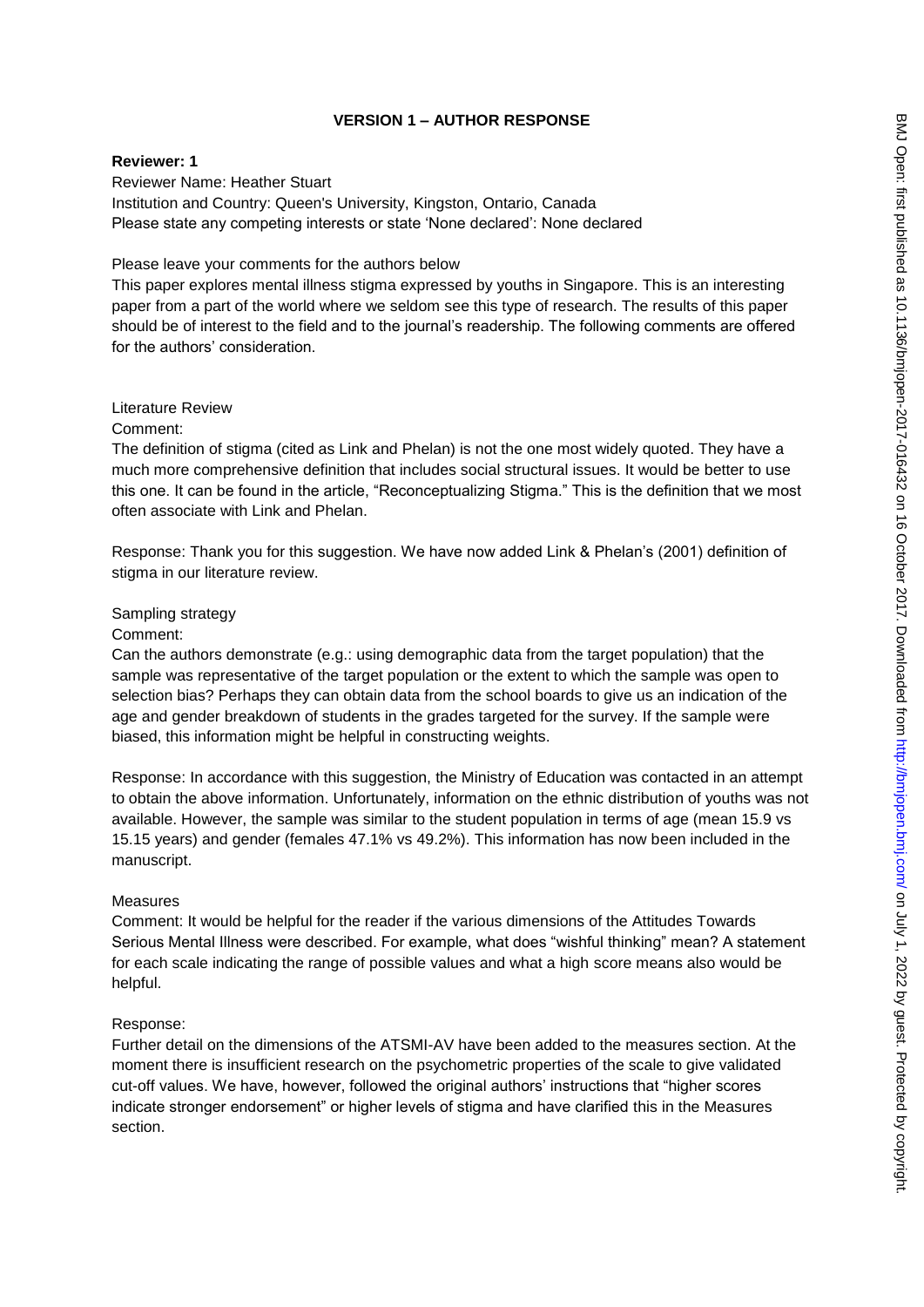## **VERSION 1 – AUTHOR RESPONSE**

## **Reviewer: 1**

Reviewer Name: Heather Stuart Institution and Country: Queen's University, Kingston, Ontario, Canada Please state any competing interests or state "None declared": None declared

## Please leave your comments for the authors below

This paper explores mental illness stigma expressed by youths in Singapore. This is an interesting paper from a part of the world where we seldom see this type of research. The results of this paper should be of interest to the field and to the journal"s readership. The following comments are offered for the authors' consideration.

## Literature Review

Comment:

The definition of stigma (cited as Link and Phelan) is not the one most widely quoted. They have a much more comprehensive definition that includes social structural issues. It would be better to use this one. It can be found in the article, "Reconceptualizing Stigma." This is the definition that we most often associate with Link and Phelan.

Response: Thank you for this suggestion. We have now added Link & Phelan"s (2001) definition of stigma in our literature review.

## Sampling strategy

Comment:

Can the authors demonstrate (e.g.: using demographic data from the target population) that the sample was representative of the target population or the extent to which the sample was open to selection bias? Perhaps they can obtain data from the school boards to give us an indication of the age and gender breakdown of students in the grades targeted for the survey. If the sample were biased, this information might be helpful in constructing weights.

Response: In accordance with this suggestion, the Ministry of Education was contacted in an attempt to obtain the above information. Unfortunately, information on the ethnic distribution of youths was not available. However, the sample was similar to the student population in terms of age (mean 15.9 vs 15.15 years) and gender (females 47.1% vs 49.2%). This information has now been included in the manuscript.

## Measures

Comment: It would be helpful for the reader if the various dimensions of the Attitudes Towards Serious Mental Illness were described. For example, what does "wishful thinking" mean? A statement for each scale indicating the range of possible values and what a high score means also would be helpful.

## Response:

Further detail on the dimensions of the ATSMI-AV have been added to the measures section. At the moment there is insufficient research on the psychometric properties of the scale to give validated cut-off values. We have, however, followed the original authors" instructions that "higher scores indicate stronger endorsement" or higher levels of stigma and have clarified this in the Measures section.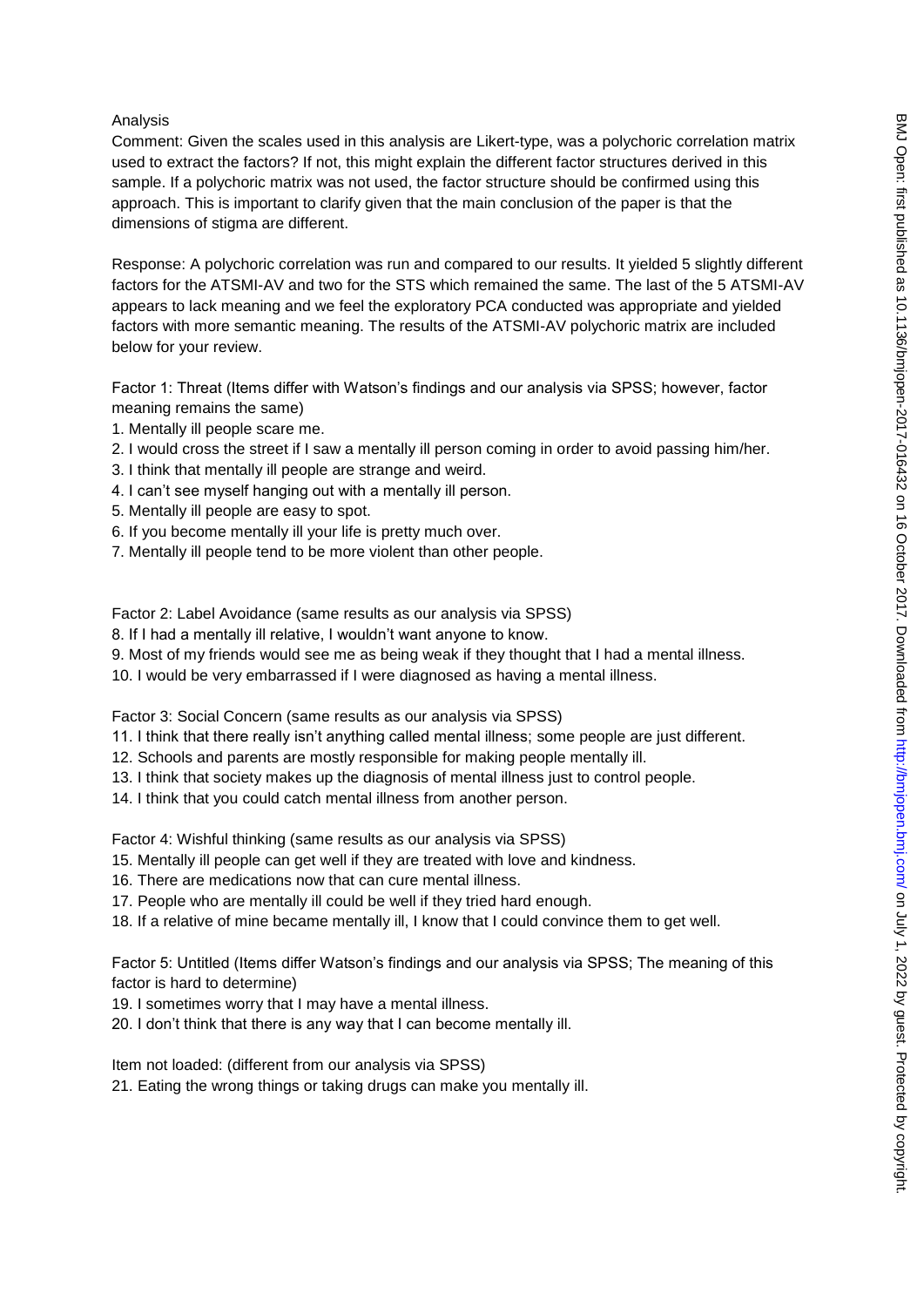#### Analysis

Comment: Given the scales used in this analysis are Likert-type, was a polychoric correlation matrix used to extract the factors? If not, this might explain the different factor structures derived in this sample. If a polychoric matrix was not used, the factor structure should be confirmed using this approach. This is important to clarify given that the main conclusion of the paper is that the dimensions of stigma are different.

Response: A polychoric correlation was run and compared to our results. It yielded 5 slightly different factors for the ATSMI-AV and two for the STS which remained the same. The last of the 5 ATSMI-AV appears to lack meaning and we feel the exploratory PCA conducted was appropriate and yielded factors with more semantic meaning. The results of the ATSMI-AV polychoric matrix are included below for your review.

Factor 1: Threat (Items differ with Watson"s findings and our analysis via SPSS; however, factor meaning remains the same)

- 1. Mentally ill people scare me.
- 2. I would cross the street if I saw a mentally ill person coming in order to avoid passing him/her.
- 3. I think that mentally ill people are strange and weird.
- 4. I can"t see myself hanging out with a mentally ill person.
- 5. Mentally ill people are easy to spot.
- 6. If you become mentally ill your life is pretty much over.
- 7. Mentally ill people tend to be more violent than other people.

Factor 2: Label Avoidance (same results as our analysis via SPSS)

8. If I had a mentally ill relative, I wouldn"t want anyone to know.

9. Most of my friends would see me as being weak if they thought that I had a mental illness.

10. I would be very embarrassed if I were diagnosed as having a mental illness.

Factor 3: Social Concern (same results as our analysis via SPSS)

11. I think that there really isn"t anything called mental illness; some people are just different.

- 12. Schools and parents are mostly responsible for making people mentally ill.
- 13. I think that society makes up the diagnosis of mental illness just to control people.
- 14. I think that you could catch mental illness from another person.

Factor 4: Wishful thinking (same results as our analysis via SPSS)

- 15. Mentally ill people can get well if they are treated with love and kindness.
- 16. There are medications now that can cure mental illness.
- 17. People who are mentally ill could be well if they tried hard enough.
- 18. If a relative of mine became mentally ill, I know that I could convince them to get well.

Factor 5: Untitled (Items differ Watson"s findings and our analysis via SPSS; The meaning of this factor is hard to determine)

- 19. I sometimes worry that I may have a mental illness.
- 20. I don"t think that there is any way that I can become mentally ill.

Item not loaded: (different from our analysis via SPSS)

21. Eating the wrong things or taking drugs can make you mentally ill.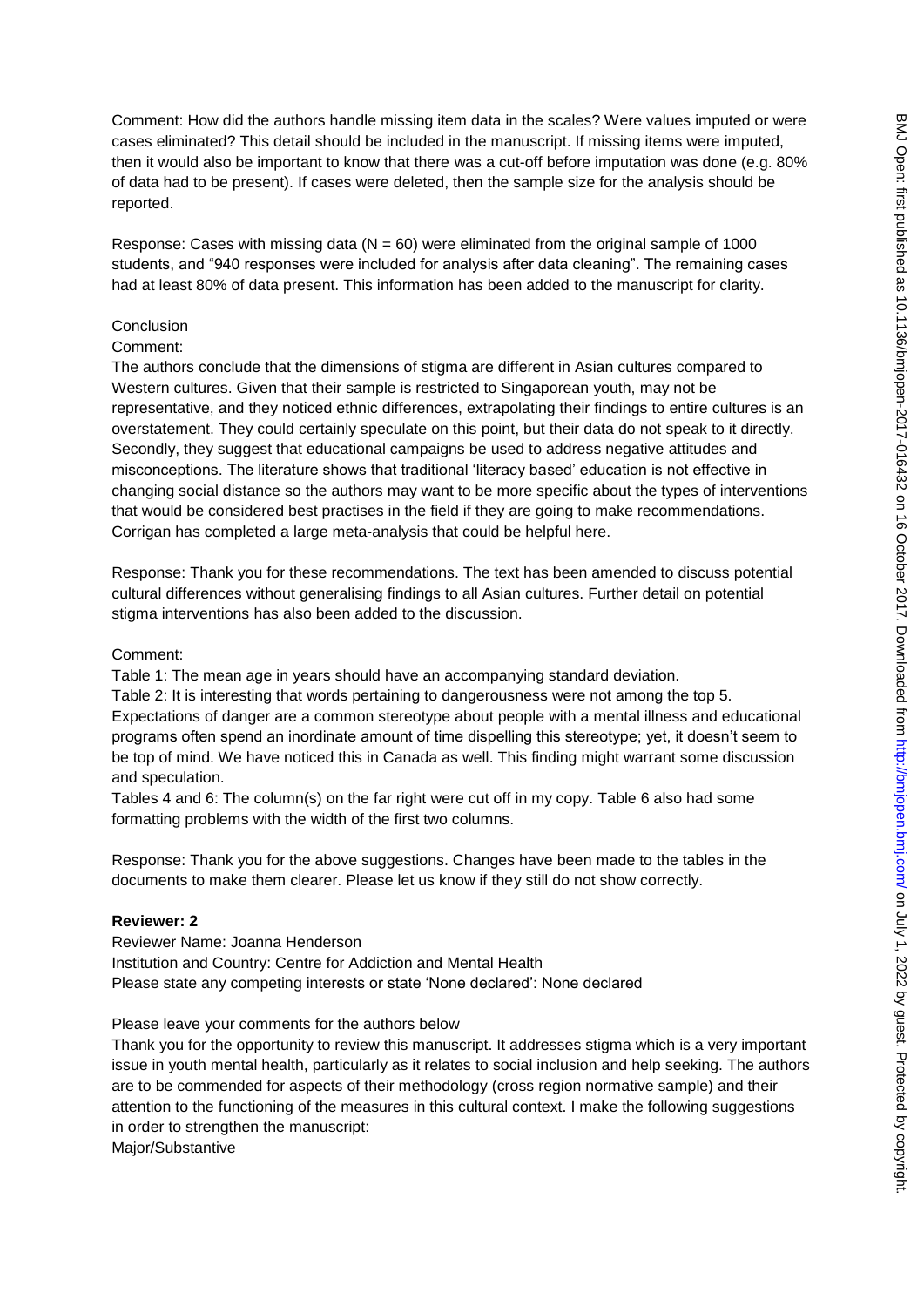Comment: How did the authors handle missing item data in the scales? Were values imputed or were cases eliminated? This detail should be included in the manuscript. If missing items were imputed, then it would also be important to know that there was a cut-off before imputation was done (e.g. 80% of data had to be present). If cases were deleted, then the sample size for the analysis should be reported.

Response: Cases with missing data ( $N = 60$ ) were eliminated from the original sample of 1000 students, and "940 responses were included for analysis after data cleaning". The remaining cases had at least 80% of data present. This information has been added to the manuscript for clarity.

#### **Conclusion**

#### Comment:

The authors conclude that the dimensions of stigma are different in Asian cultures compared to Western cultures. Given that their sample is restricted to Singaporean youth, may not be representative, and they noticed ethnic differences, extrapolating their findings to entire cultures is an overstatement. They could certainly speculate on this point, but their data do not speak to it directly. Secondly, they suggest that educational campaigns be used to address negative attitudes and misconceptions. The literature shows that traditional "literacy based" education is not effective in changing social distance so the authors may want to be more specific about the types of interventions that would be considered best practises in the field if they are going to make recommendations. Corrigan has completed a large meta-analysis that could be helpful here.

Response: Thank you for these recommendations. The text has been amended to discuss potential cultural differences without generalising findings to all Asian cultures. Further detail on potential stigma interventions has also been added to the discussion.

#### Comment:

Table 1: The mean age in years should have an accompanying standard deviation.

Table 2: It is interesting that words pertaining to dangerousness were not among the top 5. Expectations of danger are a common stereotype about people with a mental illness and educational programs often spend an inordinate amount of time dispelling this stereotype; yet, it doesn"t seem to be top of mind. We have noticed this in Canada as well. This finding might warrant some discussion and speculation.

Tables 4 and 6: The column(s) on the far right were cut off in my copy. Table 6 also had some formatting problems with the width of the first two columns.

Response: Thank you for the above suggestions. Changes have been made to the tables in the documents to make them clearer. Please let us know if they still do not show correctly.

#### **Reviewer: 2**

Reviewer Name: Joanna Henderson Institution and Country: Centre for Addiction and Mental Health Please state any competing interests or state "None declared": None declared

Please leave your comments for the authors below

Thank you for the opportunity to review this manuscript. It addresses stigma which is a very important issue in youth mental health, particularly as it relates to social inclusion and help seeking. The authors are to be commended for aspects of their methodology (cross region normative sample) and their attention to the functioning of the measures in this cultural context. I make the following suggestions in order to strengthen the manuscript:

Major/Substantive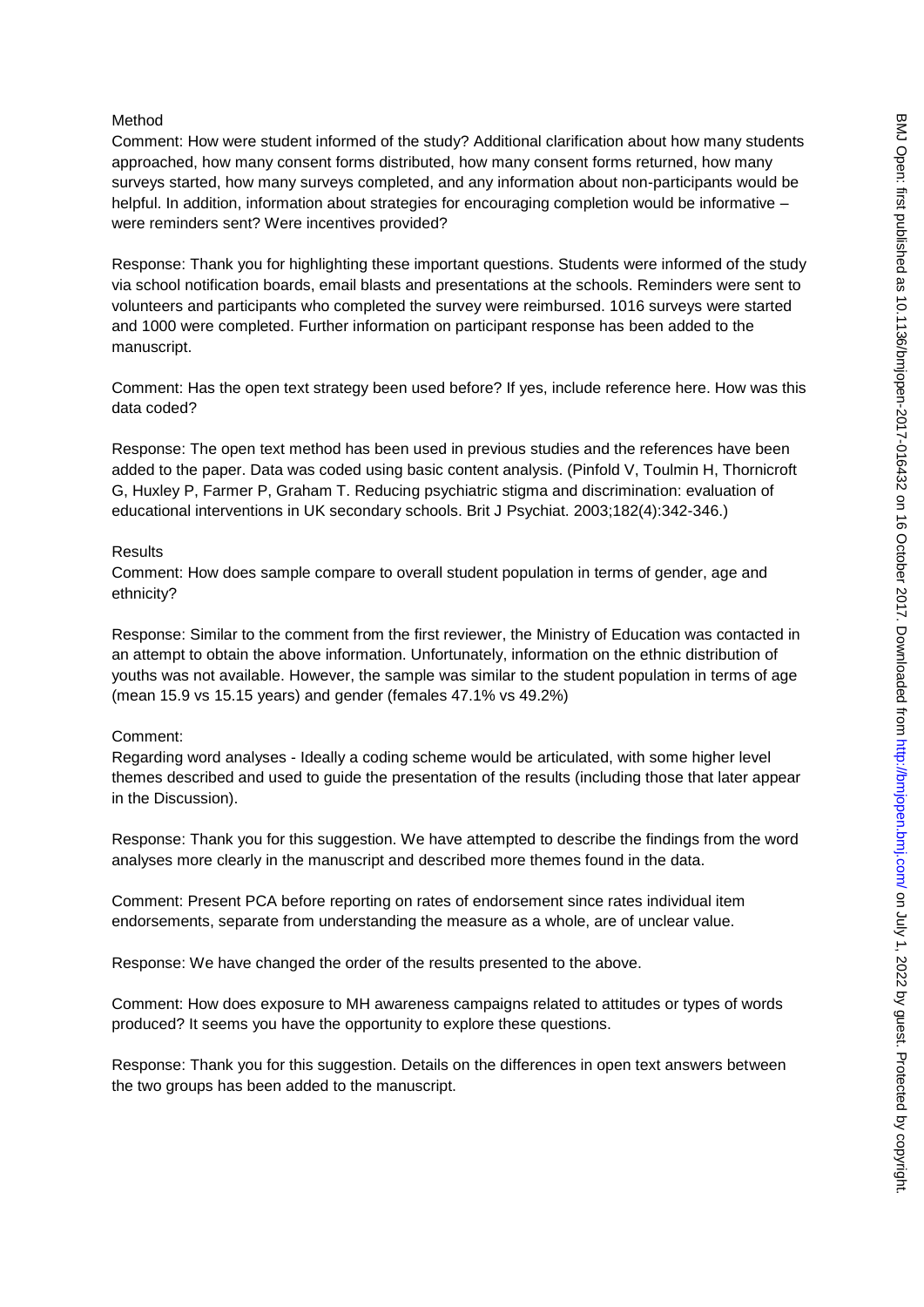#### Method

Comment: How were student informed of the study? Additional clarification about how many students approached, how many consent forms distributed, how many consent forms returned, how many surveys started, how many surveys completed, and any information about non-participants would be helpful. In addition, information about strategies for encouraging completion would be informative – were reminders sent? Were incentives provided?

Response: Thank you for highlighting these important questions. Students were informed of the study via school notification boards, email blasts and presentations at the schools. Reminders were sent to volunteers and participants who completed the survey were reimbursed. 1016 surveys were started and 1000 were completed. Further information on participant response has been added to the manuscript.

Comment: Has the open text strategy been used before? If yes, include reference here. How was this data coded?

Response: The open text method has been used in previous studies and the references have been added to the paper. Data was coded using basic content analysis. (Pinfold V, Toulmin H, Thornicroft G, Huxley P, Farmer P, Graham T. Reducing psychiatric stigma and discrimination: evaluation of educational interventions in UK secondary schools. Brit J Psychiat. 2003;182(4):342-346.)

#### **Results**

Comment: How does sample compare to overall student population in terms of gender, age and ethnicity?

Response: Similar to the comment from the first reviewer, the Ministry of Education was contacted in an attempt to obtain the above information. Unfortunately, information on the ethnic distribution of youths was not available. However, the sample was similar to the student population in terms of age (mean 15.9 vs 15.15 years) and gender (females 47.1% vs 49.2%)

## Comment:

Regarding word analyses - Ideally a coding scheme would be articulated, with some higher level themes described and used to guide the presentation of the results (including those that later appear in the Discussion).

Response: Thank you for this suggestion. We have attempted to describe the findings from the word analyses more clearly in the manuscript and described more themes found in the data.

Comment: Present PCA before reporting on rates of endorsement since rates individual item endorsements, separate from understanding the measure as a whole, are of unclear value.

Response: We have changed the order of the results presented to the above.

Comment: How does exposure to MH awareness campaigns related to attitudes or types of words produced? It seems you have the opportunity to explore these questions.

Response: Thank you for this suggestion. Details on the differences in open text answers between the two groups has been added to the manuscript.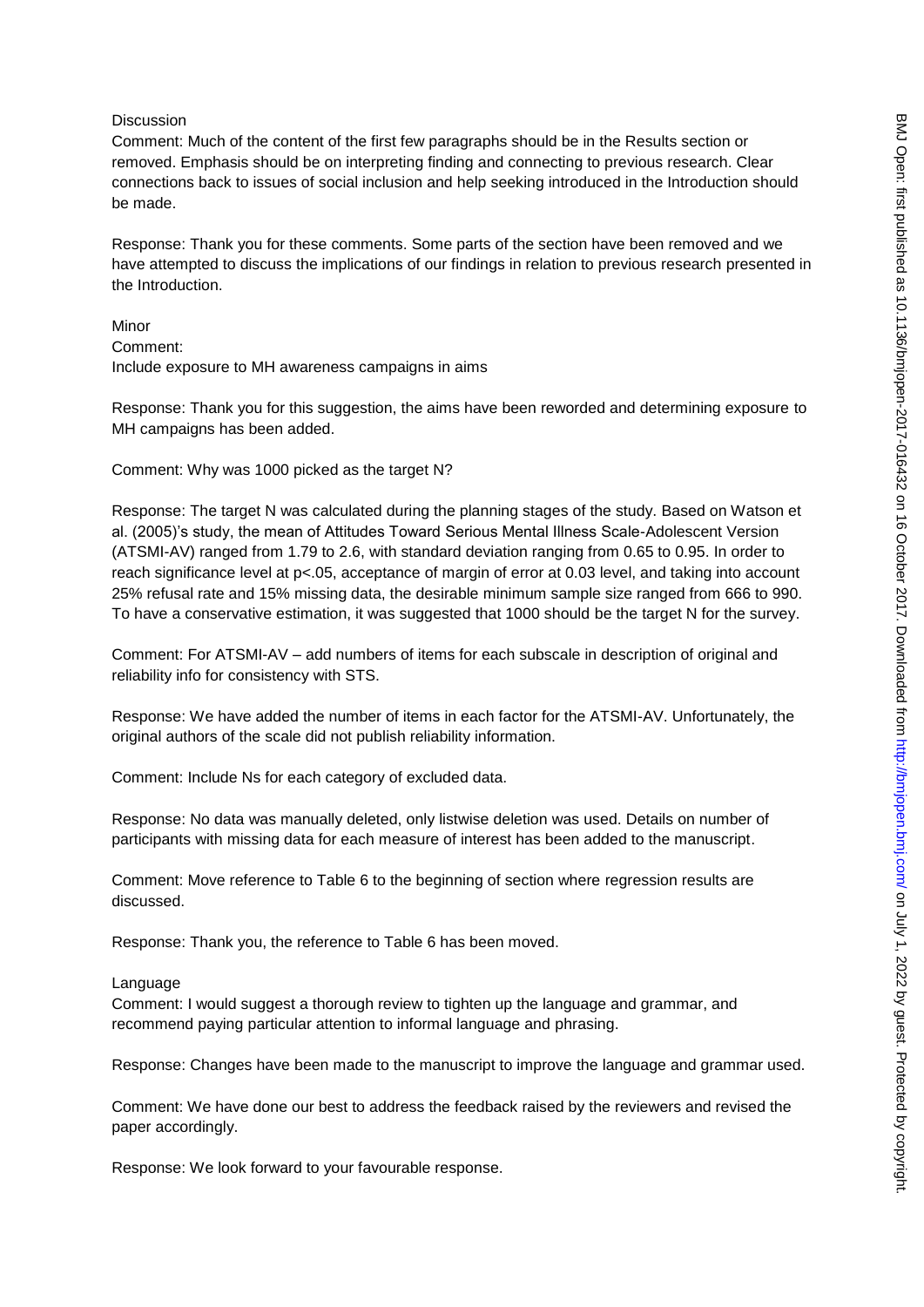#### **Discussion**

Comment: Much of the content of the first few paragraphs should be in the Results section or removed. Emphasis should be on interpreting finding and connecting to previous research. Clear connections back to issues of social inclusion and help seeking introduced in the Introduction should be made.

Response: Thank you for these comments. Some parts of the section have been removed and we have attempted to discuss the implications of our findings in relation to previous research presented in the Introduction.

Minor Comment: Include exposure to MH awareness campaigns in aims

Response: Thank you for this suggestion, the aims have been reworded and determining exposure to MH campaigns has been added.

Comment: Why was 1000 picked as the target N?

Response: The target N was calculated during the planning stages of the study. Based on Watson et al. (2005)"s study, the mean of Attitudes Toward Serious Mental Illness Scale-Adolescent Version (ATSMI-AV) ranged from 1.79 to 2.6, with standard deviation ranging from 0.65 to 0.95. In order to reach significance level at p<.05, acceptance of margin of error at 0.03 level, and taking into account 25% refusal rate and 15% missing data, the desirable minimum sample size ranged from 666 to 990. To have a conservative estimation, it was suggested that 1000 should be the target N for the survey.

Comment: For ATSMI-AV – add numbers of items for each subscale in description of original and reliability info for consistency with STS.

Response: We have added the number of items in each factor for the ATSMI-AV. Unfortunately, the original authors of the scale did not publish reliability information.

Comment: Include Ns for each category of excluded data.

Response: No data was manually deleted, only listwise deletion was used. Details on number of participants with missing data for each measure of interest has been added to the manuscript.

Comment: Move reference to Table 6 to the beginning of section where regression results are discussed.

Response: Thank you, the reference to Table 6 has been moved.

Language

Comment: I would suggest a thorough review to tighten up the language and grammar, and recommend paying particular attention to informal language and phrasing.

Response: Changes have been made to the manuscript to improve the language and grammar used.

Comment: We have done our best to address the feedback raised by the reviewers and revised the paper accordingly.

Response: We look forward to your favourable response.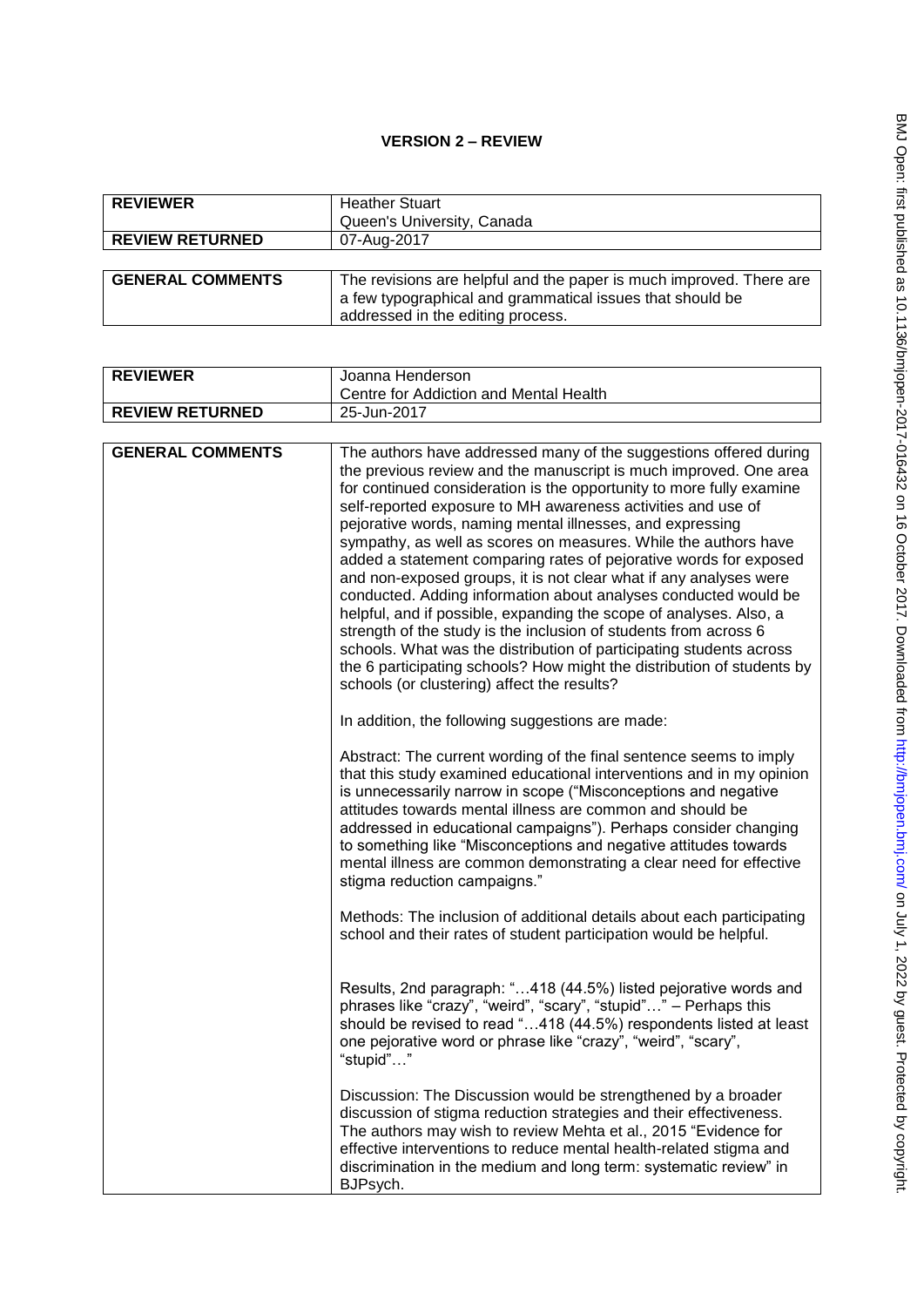# **VERSION 2 – REVIEW**

| <b>REVIEWER</b>         | <b>Heather Stuart</b><br>Queen's University, Canada                                                                                                                   |
|-------------------------|-----------------------------------------------------------------------------------------------------------------------------------------------------------------------|
| <b>REVIEW RETURNED</b>  | 07-Aug-2017                                                                                                                                                           |
|                         |                                                                                                                                                                       |
| <b>GENERAL COMMENTS</b> | The revisions are helpful and the paper is much improved. There are<br>a few typographical and grammatical issues that should be<br>addressed in the editing process. |

| <b>REVIEWER</b>         | Joanna Henderson                                                                                                                                                                                                                                                                                                                                                                                                                                                                                                                                                                                                                                                                                                                                                                                                                                                                                                                                                      |
|-------------------------|-----------------------------------------------------------------------------------------------------------------------------------------------------------------------------------------------------------------------------------------------------------------------------------------------------------------------------------------------------------------------------------------------------------------------------------------------------------------------------------------------------------------------------------------------------------------------------------------------------------------------------------------------------------------------------------------------------------------------------------------------------------------------------------------------------------------------------------------------------------------------------------------------------------------------------------------------------------------------|
|                         | Centre for Addiction and Mental Health                                                                                                                                                                                                                                                                                                                                                                                                                                                                                                                                                                                                                                                                                                                                                                                                                                                                                                                                |
| <b>REVIEW RETURNED</b>  | 25-Jun-2017                                                                                                                                                                                                                                                                                                                                                                                                                                                                                                                                                                                                                                                                                                                                                                                                                                                                                                                                                           |
|                         |                                                                                                                                                                                                                                                                                                                                                                                                                                                                                                                                                                                                                                                                                                                                                                                                                                                                                                                                                                       |
| <b>GENERAL COMMENTS</b> | The authors have addressed many of the suggestions offered during<br>the previous review and the manuscript is much improved. One area<br>for continued consideration is the opportunity to more fully examine<br>self-reported exposure to MH awareness activities and use of<br>pejorative words, naming mental illnesses, and expressing<br>sympathy, as well as scores on measures. While the authors have<br>added a statement comparing rates of pejorative words for exposed<br>and non-exposed groups, it is not clear what if any analyses were<br>conducted. Adding information about analyses conducted would be<br>helpful, and if possible, expanding the scope of analyses. Also, a<br>strength of the study is the inclusion of students from across 6<br>schools. What was the distribution of participating students across<br>the 6 participating schools? How might the distribution of students by<br>schools (or clustering) affect the results? |
|                         | In addition, the following suggestions are made:                                                                                                                                                                                                                                                                                                                                                                                                                                                                                                                                                                                                                                                                                                                                                                                                                                                                                                                      |
|                         | Abstract: The current wording of the final sentence seems to imply<br>that this study examined educational interventions and in my opinion<br>is unnecessarily narrow in scope ("Misconceptions and negative<br>attitudes towards mental illness are common and should be<br>addressed in educational campaigns"). Perhaps consider changing<br>to something like "Misconceptions and negative attitudes towards<br>mental illness are common demonstrating a clear need for effective<br>stigma reduction campaigns."                                                                                                                                                                                                                                                                                                                                                                                                                                                |
|                         | Methods: The inclusion of additional details about each participating<br>school and their rates of student participation would be helpful.                                                                                                                                                                                                                                                                                                                                                                                                                                                                                                                                                                                                                                                                                                                                                                                                                            |
|                         | Results, 2nd paragraph: "418 (44.5%) listed pejorative words and<br>phrases like "crazy", "weird", "scary", "stupid"" - Perhaps this<br>should be revised to read "418 (44.5%) respondents listed at least<br>one pejorative word or phrase like "crazy", "weird", "scary",<br>"stupid""                                                                                                                                                                                                                                                                                                                                                                                                                                                                                                                                                                                                                                                                              |
|                         | Discussion: The Discussion would be strengthened by a broader<br>discussion of stigma reduction strategies and their effectiveness.<br>The authors may wish to review Mehta et al., 2015 "Evidence for<br>effective interventions to reduce mental health-related stigma and<br>discrimination in the medium and long term: systematic review" in<br>BJPsych.                                                                                                                                                                                                                                                                                                                                                                                                                                                                                                                                                                                                         |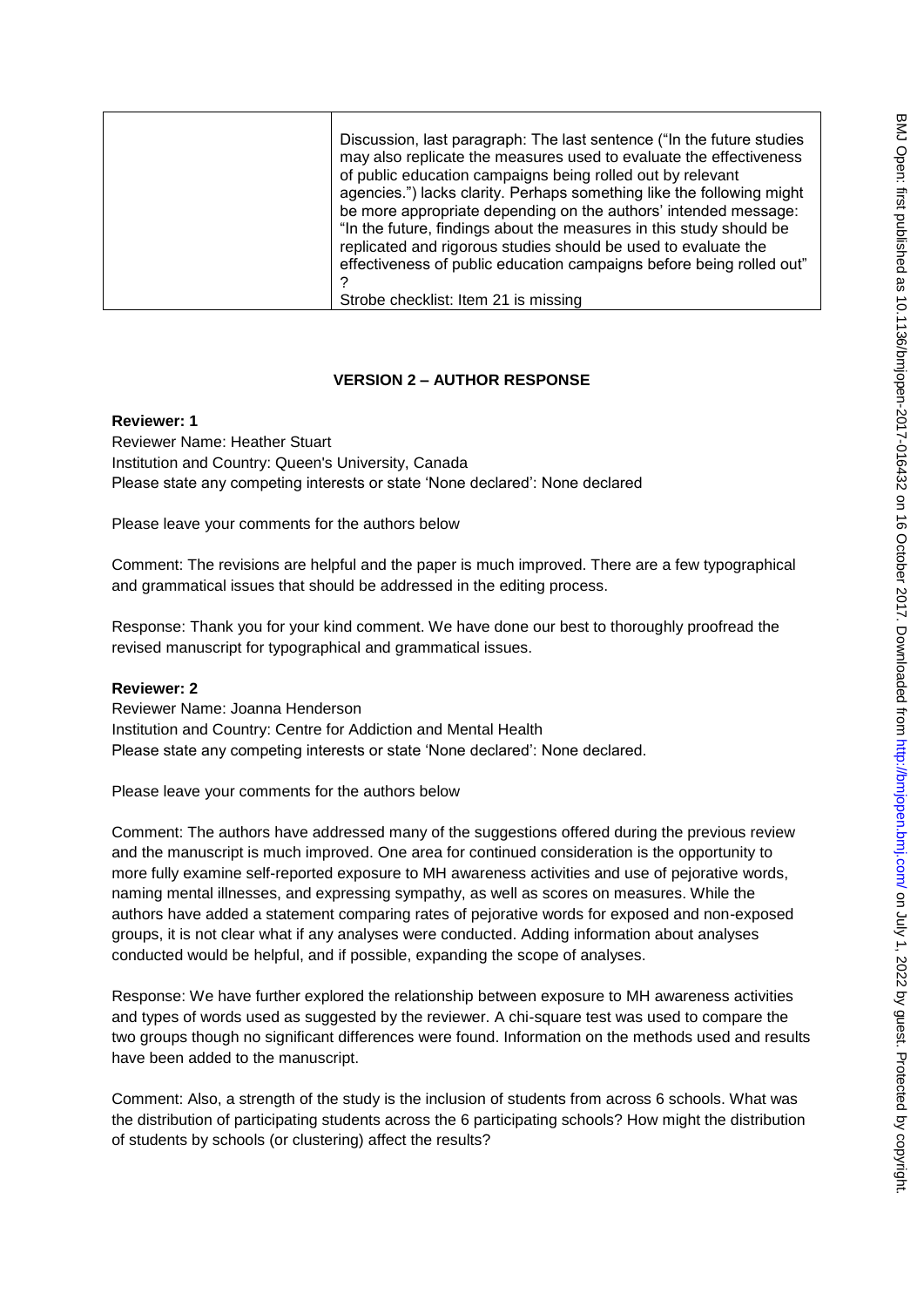| Discussion, last paragraph: The last sentence ("In the future studies"<br>may also replicate the measures used to evaluate the effectiveness<br>of public education campaigns being rolled out by relevant<br>agencies.") lacks clarity. Perhaps something like the following might<br>be more appropriate depending on the authors' intended message:<br>"In the future, findings about the measures in this study should be<br>replicated and rigorous studies should be used to evaluate the<br>effectiveness of public education campaigns before being rolled out" |
|-------------------------------------------------------------------------------------------------------------------------------------------------------------------------------------------------------------------------------------------------------------------------------------------------------------------------------------------------------------------------------------------------------------------------------------------------------------------------------------------------------------------------------------------------------------------------|
| Strobe checklist: Item 21 is missing                                                                                                                                                                                                                                                                                                                                                                                                                                                                                                                                    |

## **VERSION 2 – AUTHOR RESPONSE**

#### **Reviewer: 1**

Reviewer Name: Heather Stuart Institution and Country: Queen's University, Canada Please state any competing interests or state "None declared": None declared

Please leave your comments for the authors below

Comment: The revisions are helpful and the paper is much improved. There are a few typographical and grammatical issues that should be addressed in the editing process.

Response: Thank you for your kind comment. We have done our best to thoroughly proofread the revised manuscript for typographical and grammatical issues.

#### **Reviewer: 2**

Reviewer Name: Joanna Henderson Institution and Country: Centre for Addiction and Mental Health Please state any competing interests or state 'None declared': None declared.

Please leave your comments for the authors below

Comment: The authors have addressed many of the suggestions offered during the previous review and the manuscript is much improved. One area for continued consideration is the opportunity to more fully examine self-reported exposure to MH awareness activities and use of pejorative words, naming mental illnesses, and expressing sympathy, as well as scores on measures. While the authors have added a statement comparing rates of pejorative words for exposed and non-exposed groups, it is not clear what if any analyses were conducted. Adding information about analyses conducted would be helpful, and if possible, expanding the scope of analyses.

Response: We have further explored the relationship between exposure to MH awareness activities and types of words used as suggested by the reviewer. A chi-square test was used to compare the two groups though no significant differences were found. Information on the methods used and results have been added to the manuscript.

Comment: Also, a strength of the study is the inclusion of students from across 6 schools. What was the distribution of participating students across the 6 participating schools? How might the distribution of students by schools (or clustering) affect the results?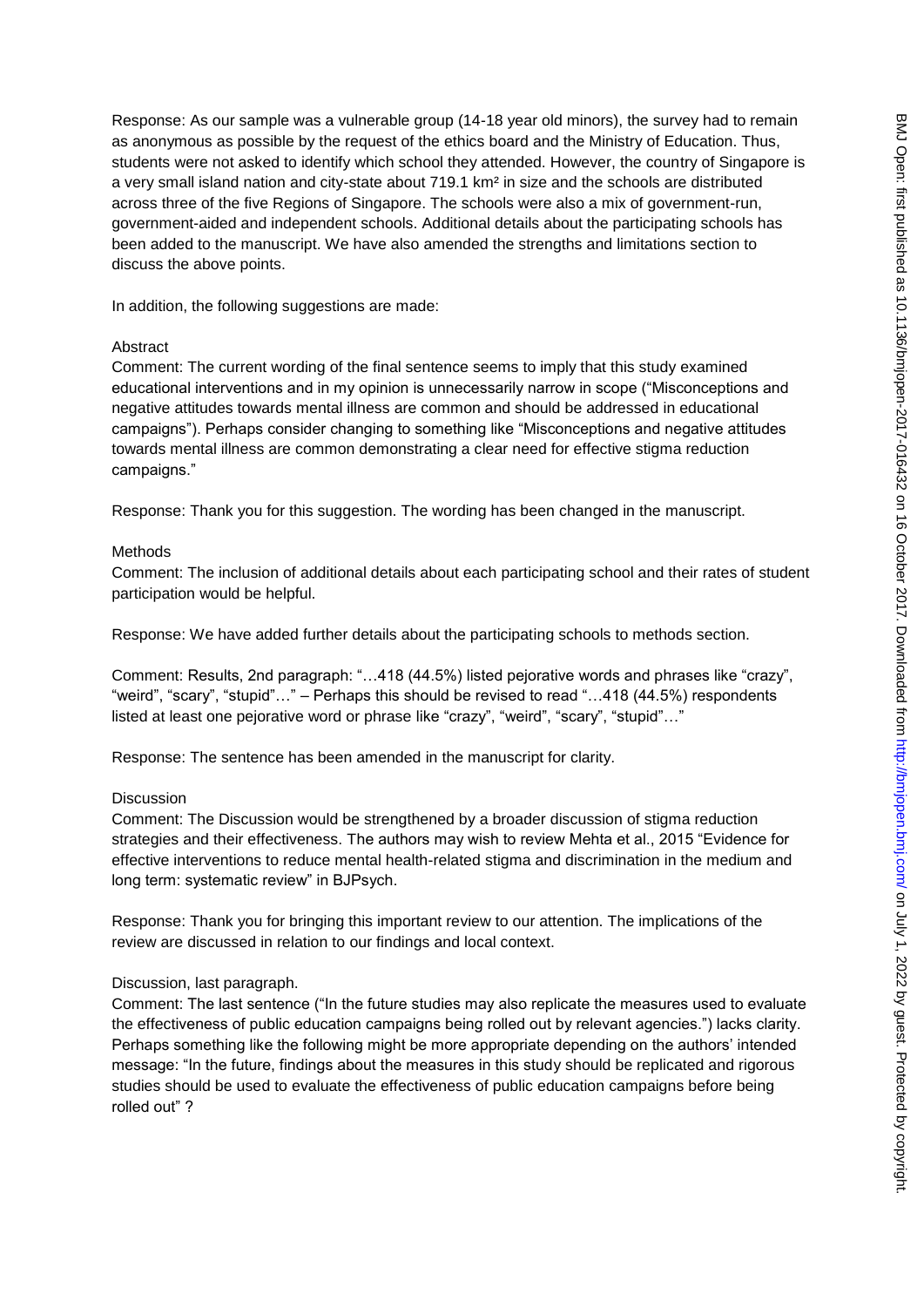Response: As our sample was a vulnerable group (14-18 year old minors), the survey had to remain as anonymous as possible by the request of the ethics board and the Ministry of Education. Thus, students were not asked to identify which school they attended. However, the country of Singapore is a very small island nation and city-state about 719.1 km² in size and the schools are distributed across three of the five Regions of Singapore. The schools were also a mix of government-run, government-aided and independent schools. Additional details about the participating schools has been added to the manuscript. We have also amended the strengths and limitations section to discuss the above points.

In addition, the following suggestions are made:

## Abstract

Comment: The current wording of the final sentence seems to imply that this study examined educational interventions and in my opinion is unnecessarily narrow in scope ("Misconceptions and negative attitudes towards mental illness are common and should be addressed in educational campaigns"). Perhaps consider changing to something like "Misconceptions and negative attitudes towards mental illness are common demonstrating a clear need for effective stigma reduction campaigns."

Response: Thank you for this suggestion. The wording has been changed in the manuscript.

## Methods

Comment: The inclusion of additional details about each participating school and their rates of student participation would be helpful.

Response: We have added further details about the participating schools to methods section.

Comment: Results, 2nd paragraph: "…418 (44.5%) listed pejorative words and phrases like "crazy", "weird", "scary", "stupid"…" – Perhaps this should be revised to read "…418 (44.5%) respondents listed at least one pejorative word or phrase like "crazy", "weird", "scary", "stupid"..."

Response: The sentence has been amended in the manuscript for clarity.

## Discussion

Comment: The Discussion would be strengthened by a broader discussion of stigma reduction strategies and their effectiveness. The authors may wish to review Mehta et al., 2015 "Evidence for effective interventions to reduce mental health-related stigma and discrimination in the medium and long term: systematic review" in BJPsych.

Response: Thank you for bringing this important review to our attention. The implications of the review are discussed in relation to our findings and local context.

## Discussion, last paragraph.

Comment: The last sentence ("In the future studies may also replicate the measures used to evaluate the effectiveness of public education campaigns being rolled out by relevant agencies.") lacks clarity. Perhaps something like the following might be more appropriate depending on the authors' intended message: "In the future, findings about the measures in this study should be replicated and rigorous studies should be used to evaluate the effectiveness of public education campaigns before being rolled out" ?